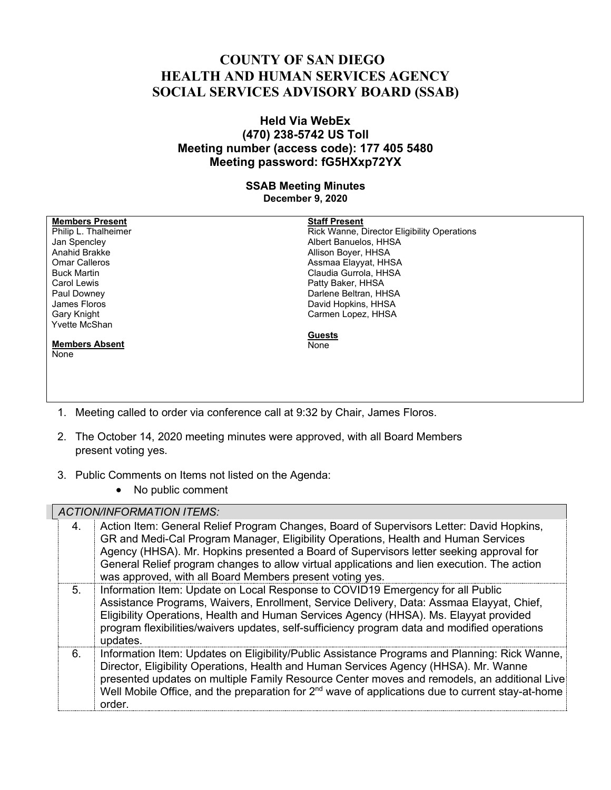## **COUNTY OF SAN DIEGO HEALTH AND HUMAN SERVICES AGENCY SOCIAL SERVICES ADVISORY BOARD (SSAB)**

## **Held Via WebEx (470) 238-5742 US Toll Meeting number (access code): 177 405 5480 Meeting password: fG5HXxp72YX**

## **SSAB Meeting Minutes December 9, 2020**

| <b>Members Present</b>                                                      | <b>Staff Present</b>                        |
|-----------------------------------------------------------------------------|---------------------------------------------|
| Philip L. Thalheimer                                                        | Rick Wanne, Director Eligibility Operations |
| Jan Spencley                                                                | Albert Banuelos, HHSA                       |
| Anahid Brakke                                                               | Allison Boyer, HHSA                         |
| <b>Omar Calleros</b>                                                        | Assmaa Elayyat, HHSA                        |
| <b>Buck Martin</b>                                                          | Claudia Gurrola, HHSA                       |
| Carol Lewis                                                                 | Patty Baker, HHSA                           |
| Paul Downey                                                                 | Darlene Beltran, HHSA                       |
| James Floros                                                                | David Hopkins, HHSA                         |
| Gary Knight                                                                 | Carmen Lopez, HHSA                          |
| Yvette McShan                                                               |                                             |
|                                                                             | <b>Guests</b>                               |
| <b>Members Absent</b>                                                       | None                                        |
| None                                                                        |                                             |
|                                                                             |                                             |
|                                                                             |                                             |
|                                                                             |                                             |
|                                                                             |                                             |
| Meeting called to order via conference call at 9:32 by Chair, James Floros. |                                             |

- 2. The October 14, 2020 meeting minutes were approved, with all Board Members present voting yes.
- 3. Public Comments on Items not listed on the Agenda:
	- No public comment

## *ACTION/INFORMATION ITEMS:*

| 4. | Action Item: General Relief Program Changes, Board of Supervisors Letter: David Hopkins,<br>GR and Medi-Cal Program Manager, Eligibility Operations, Health and Human Services<br>Agency (HHSA). Mr. Hopkins presented a Board of Supervisors letter seeking approval for<br>General Relief program changes to allow virtual applications and lien execution. The action<br>was approved, with all Board Members present voting yes. |
|----|--------------------------------------------------------------------------------------------------------------------------------------------------------------------------------------------------------------------------------------------------------------------------------------------------------------------------------------------------------------------------------------------------------------------------------------|
| 5. | Information Item: Update on Local Response to COVID19 Emergency for all Public<br>Assistance Programs, Waivers, Enrollment, Service Delivery, Data: Assmaa Elayyat, Chief,<br>Eligibility Operations, Health and Human Services Agency (HHSA). Ms. Elayyat provided<br>program flexibilities/waivers updates, self-sufficiency program data and modified operations<br>updates.                                                      |
| 6. | Information Item: Updates on Eligibility/Public Assistance Programs and Planning: Rick Wanne,<br>Director, Eligibility Operations, Health and Human Services Agency (HHSA). Mr. Wanne<br>presented updates on multiple Family Resource Center moves and remodels, an additional Live<br>Well Mobile Office, and the preparation for 2 <sup>nd</sup> wave of applications due to current stay-at-home<br>order.                       |